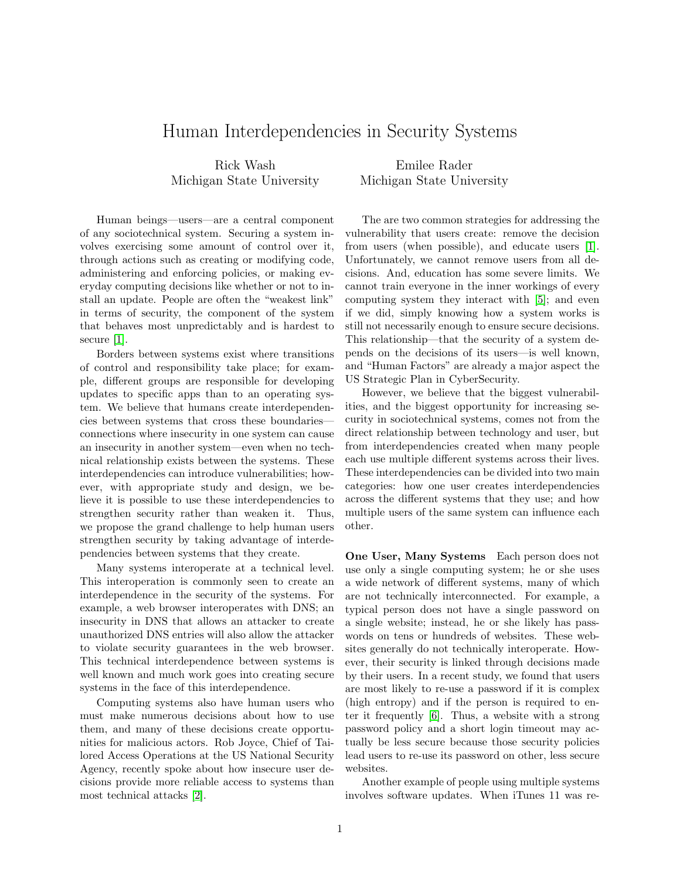## Human Interdependencies in Security Systems

Rick Wash Michigan State University

Emilee Rader Michigan State University

Human beings—users—are a central component of any sociotechnical system. Securing a system involves exercising some amount of control over it, through actions such as creating or modifying code, administering and enforcing policies, or making everyday computing decisions like whether or not to install an update. People are often the "weakest link" in terms of security, the component of the system that behaves most unpredictably and is hardest to secure [\[1\]](#page-1-0).

Borders between systems exist where transitions of control and responsibility take place; for example, different groups are responsible for developing updates to specific apps than to an operating system. We believe that humans create interdependencies between systems that cross these boundaries connections where insecurity in one system can cause an insecurity in another system—even when no technical relationship exists between the systems. These interdependencies can introduce vulnerabilities; however, with appropriate study and design, we believe it is possible to use these interdependencies to strengthen security rather than weaken it. Thus, we propose the grand challenge to help human users strengthen security by taking advantage of interdependencies between systems that they create.

Many systems interoperate at a technical level. This interoperation is commonly seen to create an interdependence in the security of the systems. For example, a web browser interoperates with DNS; an insecurity in DNS that allows an attacker to create unauthorized DNS entries will also allow the attacker to violate security guarantees in the web browser. This technical interdependence between systems is well known and much work goes into creating secure systems in the face of this interdependence.

Computing systems also have human users who must make numerous decisions about how to use them, and many of these decisions create opportunities for malicious actors. Rob Joyce, Chief of Tailored Access Operations at the US National Security Agency, recently spoke about how insecure user decisions provide more reliable access to systems than most technical attacks [\[2\]](#page-1-1).

The are two common strategies for addressing the vulnerability that users create: remove the decision from users (when possible), and educate users [\[1\]](#page-1-0). Unfortunately, we cannot remove users from all decisions. And, education has some severe limits. We cannot train everyone in the inner workings of every computing system they interact with [\[5\]](#page-1-2); and even if we did, simply knowing how a system works is still not necessarily enough to ensure secure decisions. This relationship—that the security of a system depends on the decisions of its users—is well known, and "Human Factors" are already a major aspect the US Strategic Plan in CyberSecurity.

However, we believe that the biggest vulnerabilities, and the biggest opportunity for increasing security in sociotechnical systems, comes not from the direct relationship between technology and user, but from interdependencies created when many people each use multiple different systems across their lives. These interdependencies can be divided into two main categories: how one user creates interdependencies across the different systems that they use; and how multiple users of the same system can influence each other.

One User, Many Systems Each person does not use only a single computing system; he or she uses a wide network of different systems, many of which are not technically interconnected. For example, a typical person does not have a single password on a single website; instead, he or she likely has passwords on tens or hundreds of websites. These websites generally do not technically interoperate. However, their security is linked through decisions made by their users. In a recent study, we found that users are most likely to re-use a password if it is complex (high entropy) and if the person is required to enter it frequently [\[6\]](#page-1-3). Thus, a website with a strong password policy and a short login timeout may actually be less secure because those security policies lead users to re-use its password on other, less secure websites.

Another example of people using multiple systems involves software updates. When iTunes 11 was re